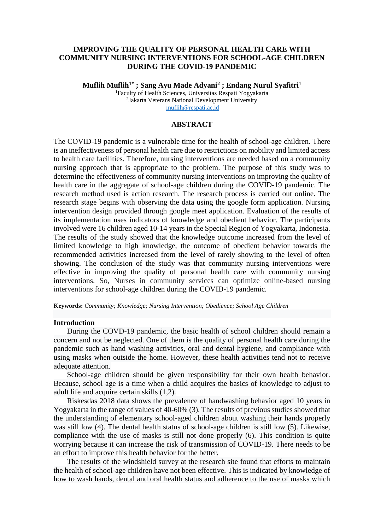# **IMPROVING THE QUALITY OF PERSONAL HEALTH CARE WITH COMMUNITY NURSING INTERVENTIONS FOR SCHOOL-AGE CHILDREN DURING THE COVID-19 PANDEMIC**

**Muflih Muflih1\* ; Sang Ayu Made Adyani<sup>2</sup> ; Endang Nurul Syafitri<sup>1</sup>** <sup>1</sup>Faculty of Health Sciences, Universitas Respati Yogyakarta 2 Jakarta Veterans National Development University muflih@respati.ac.id

# **ABSTRACT**

The COVID-19 pandemic is a vulnerable time for the health of school-age children. There is an ineffectiveness of personal health care due to restrictions on mobility and limited access to health care facilities. Therefore, nursing interventions are needed based on a community nursing approach that is appropriate to the problem. The purpose of this study was to determine the effectiveness of community nursing interventions on improving the quality of health care in the aggregate of school-age children during the COVID-19 pandemic. The research method used is action research. The research process is carried out online. The research stage begins with observing the data using the google form application. Nursing intervention design provided through google meet application. Evaluation of the results of its implementation uses indicators of knowledge and obedient behavior. The participants involved were 16 children aged 10-14 years in the Special Region of Yogyakarta, Indonesia. The results of the study showed that the knowledge outcome increased from the level of limited knowledge to high knowledge, the outcome of obedient behavior towards the recommended activities increased from the level of rarely showing to the level of often showing. The conclusion of the study was that community nursing interventions were effective in improving the quality of personal health care with community nursing interventions. So, Nurses in community services can optimize online-based nursing interventions for school-age children during the COVID-19 pandemic.

**Keywords:** *Community; Knowledge; Nursing Intervention; Obedience; School Age Children*

### **Introduction**

During the COVD-19 pandemic, the basic health of school children should remain a concern and not be neglected. One of them is the quality of personal health care during the pandemic such as hand washing activities, oral and dental hygiene, and compliance with using masks when outside the home. However, these health activities tend not to receive adequate attention.

School-age children should be given responsibility for their own health behavior. Because, school age is a time when a child acquires the basics of knowledge to adjust to adult life and acquire certain skills (1,2).

Riskesdas 2018 data shows the prevalence of handwashing behavior aged 10 years in Yogyakarta in the range of values of 40-60% (3). The results of previous studies showed that the understanding of elementary school-aged children about washing their hands properly was still low (4). The dental health status of school-age children is still low (5). Likewise, compliance with the use of masks is still not done properly (6). This condition is quite worrying because it can increase the risk of transmission of COVID-19. There needs to be an effort to improve this health behavior for the better.

The results of the windshield survey at the research site found that efforts to maintain the health of school-age children have not been effective. This is indicated by knowledge of how to wash hands, dental and oral health status and adherence to the use of masks which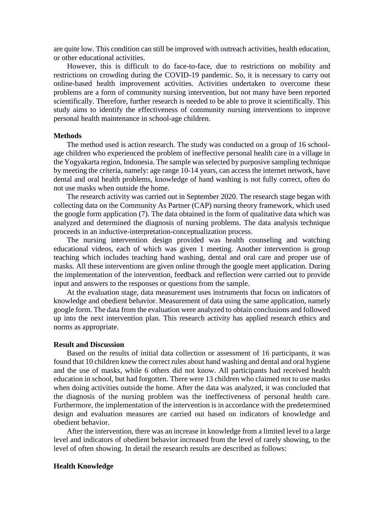are quite low. This condition can still be improved with outreach activities, health education, or other educational activities.

However, this is difficult to do face-to-face, due to restrictions on mobility and restrictions on crowding during the COVID-19 pandemic. So, it is necessary to carry out online-based health improvement activities. Activities undertaken to overcome these problems are a form of community nursing intervention, but not many have been reported scientifically. Therefore, further research is needed to be able to prove it scientifically. This study aims to identify the effectiveness of community nursing interventions to improve personal health maintenance in school-age children.

### **Methods**

The method used is action research. The study was conducted on a group of 16 schoolage children who experienced the problem of ineffective personal health care in a village in the Yogyakarta region, Indonesia. The sample was selected by purposive sampling technique by meeting the criteria, namely: age range 10-14 years, can access the internet network, have dental and oral health problems, knowledge of hand washing is not fully correct, often do not use masks when outside the home.

The research activity was carried out in September 2020. The research stage began with collecting data on the Community As Partner (CAP) nursing theory framework, which used the google form application (7). The data obtained in the form of qualitative data which was analyzed and determined the diagnosis of nursing problems. The data analysis technique proceeds in an inductive-interpretation-conceptualization process.

The nursing intervention design provided was health counseling and watching educational videos, each of which was given 1 meeting. Another intervention is group teaching which includes teaching hand washing, dental and oral care and proper use of masks. All these interventions are given online through the google meet application. During the implementation of the intervention, feedback and reflection were carried out to provide input and answers to the responses or questions from the sample.

At the evaluation stage, data measurement uses instruments that focus on indicators of knowledge and obedient behavior. Measurement of data using the same application, namely google form. The data from the evaluation were analyzed to obtain conclusions and followed up into the next intervention plan. This research activity has applied research ethics and norms as appropriate.

#### **Result and Discussion**

Based on the results of initial data collection or assessment of 16 participants, it was found that 10 children knew the correct rules about hand washing and dental and oral hygiene and the use of masks, while 6 others did not know. All participants had received health education in school, but had forgotten. There were 13 children who claimed not to use masks when doing activities outside the home. After the data was analyzed, it was concluded that the diagnosis of the nursing problem was the ineffectiveness of personal health care. Furthermore, the implementation of the intervention is in accordance with the predetermined design and evaluation measures are carried out based on indicators of knowledge and obedient behavior.

After the intervention, there was an increase in knowledge from a limited level to a large level and indicators of obedient behavior increased from the level of rarely showing, to the level of often showing. In detail the research results are described as follows:

## **Health Knowledge**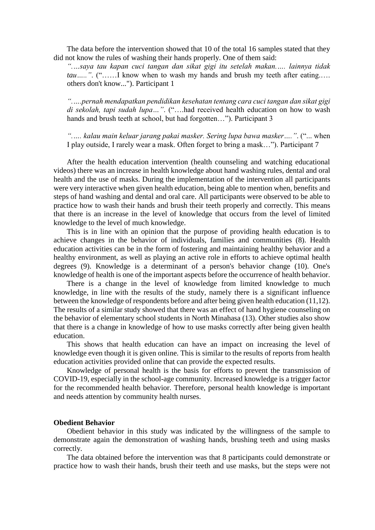The data before the intervention showed that 10 of the total 16 samples stated that they did not know the rules of washing their hands properly. One of them said:

*".…saya tau kapan cuci tangan dan sikat gigi itu setelah makan.…. lainnya tidak tau*…...". ("……I know when to wash my hands and brush my teeth after eating..... others don't know..."). Participant 1

*".….pernah mendapatkan pendidikan kesehatan tentang cara cuci tangan dan sikat gigi di sekolah, tapi sudah lupa…"*. ("….had received health education on how to wash hands and brush teeth at school, but had forgotten..."). Participant 3

*".…. kalau main keluar jarang pakai masker. Sering lupa bawa masker…."*. ("... when I play outside, I rarely wear a mask. Often forget to bring a mask…"). Participant 7

After the health education intervention (health counseling and watching educational videos) there was an increase in health knowledge about hand washing rules, dental and oral health and the use of masks. During the implementation of the intervention all participants were very interactive when given health education, being able to mention when, benefits and steps of hand washing and dental and oral care. All participants were observed to be able to practice how to wash their hands and brush their teeth properly and correctly. This means that there is an increase in the level of knowledge that occurs from the level of limited knowledge to the level of much knowledge.

This is in line with an opinion that the purpose of providing health education is to achieve changes in the behavior of individuals, families and communities (8). Health education activities can be in the form of fostering and maintaining healthy behavior and a healthy environment, as well as playing an active role in efforts to achieve optimal health degrees (9). Knowledge is a determinant of a person's behavior change (10). One's knowledge of health is one of the important aspects before the occurrence of health behavior.

There is a change in the level of knowledge from limited knowledge to much knowledge, in line with the results of the study, namely there is a significant influence between the knowledge of respondents before and after being given health education (11,12). The results of a similar study showed that there was an effect of hand hygiene counseling on the behavior of elementary school students in North Minahasa (13). Other studies also show that there is a change in knowledge of how to use masks correctly after being given health education.

This shows that health education can have an impact on increasing the level of knowledge even though it is given online. This is similar to the results of reports from health education activities provided online that can provide the expected results.

Knowledge of personal health is the basis for efforts to prevent the transmission of COVID-19, especially in the school-age community. Increased knowledge is a trigger factor for the recommended health behavior. Therefore, personal health knowledge is important and needs attention by community health nurses.

## **Obedient Behavior**

Obedient behavior in this study was indicated by the willingness of the sample to demonstrate again the demonstration of washing hands, brushing teeth and using masks correctly.

The data obtained before the intervention was that 8 participants could demonstrate or practice how to wash their hands, brush their teeth and use masks, but the steps were not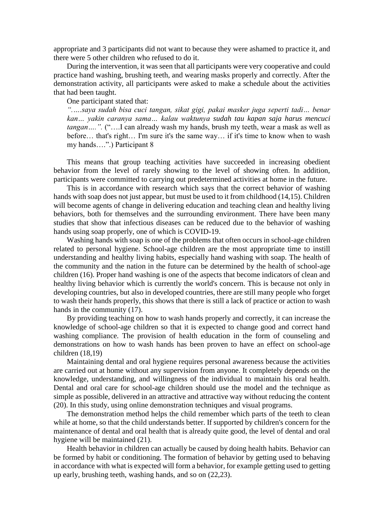appropriate and 3 participants did not want to because they were ashamed to practice it, and there were 5 other children who refused to do it.

During the intervention, it was seen that all participants were very cooperative and could practice hand washing, brushing teeth, and wearing masks properly and correctly. After the demonstration activity, all participants were asked to make a schedule about the activities that had been taught.

One participant stated that:

*".….saya sudah bisa cuci tangan, sikat gigi, pakai masker juga seperti tadi… benar kan… yakin caranya sama… kalau waktunya sudah tau kapan saja harus mencuci tangan….".* ("….I can already wash my hands, brush my teeth, wear a mask as well as before… that's right… I'm sure it's the same way… if it's time to know when to wash my hands….".) Participant 8

This means that group teaching activities have succeeded in increasing obedient behavior from the level of rarely showing to the level of showing often. In addition, participants were committed to carrying out predetermined activities at home in the future.

This is in accordance with research which says that the correct behavior of washing hands with soap does not just appear, but must be used to it from childhood (14,15). Children will become agents of change in delivering education and teaching clean and healthy living behaviors, both for themselves and the surrounding environment. There have been many studies that show that infectious diseases can be reduced due to the behavior of washing hands using soap properly, one of which is COVID-19.

Washing hands with soap is one of the problems that often occurs in school-age children related to personal hygiene. School-age children are the most appropriate time to instill understanding and healthy living habits, especially hand washing with soap. The health of the community and the nation in the future can be determined by the health of school-age children (16). Proper hand washing is one of the aspects that become indicators of clean and healthy living behavior which is currently the world's concern. This is because not only in developing countries, but also in developed countries, there are still many people who forget to wash their hands properly, this shows that there is still a lack of practice or action to wash hands in the community (17).

By providing teaching on how to wash hands properly and correctly, it can increase the knowledge of school-age children so that it is expected to change good and correct hand washing compliance. The provision of health education in the form of counseling and demonstrations on how to wash hands has been proven to have an effect on school-age children (18,19)

Maintaining dental and oral hygiene requires personal awareness because the activities are carried out at home without any supervision from anyone. It completely depends on the knowledge, understanding, and willingness of the individual to maintain his oral health. Dental and oral care for school-age children should use the model and the technique as simple as possible, delivered in an attractive and attractive way without reducing the content (20). In this study, using online demonstration techniques and visual programs.

The demonstration method helps the child remember which parts of the teeth to clean while at home, so that the child understands better. If supported by children's concern for the maintenance of dental and oral health that is already quite good, the level of dental and oral hygiene will be maintained (21).

Health behavior in children can actually be caused by doing health habits. Behavior can be formed by habit or conditioning. The formation of behavior by getting used to behaving in accordance with what is expected will form a behavior, for example getting used to getting up early, brushing teeth, washing hands, and so on (22,23).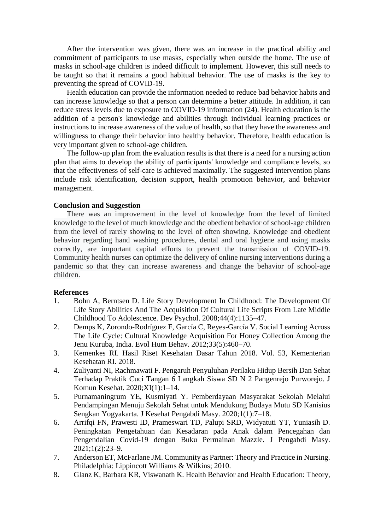After the intervention was given, there was an increase in the practical ability and commitment of participants to use masks, especially when outside the home. The use of masks in school-age children is indeed difficult to implement. However, this still needs to be taught so that it remains a good habitual behavior. The use of masks is the key to preventing the spread of COVID-19.

Health education can provide the information needed to reduce bad behavior habits and can increase knowledge so that a person can determine a better attitude. In addition, it can reduce stress levels due to exposure to COVID-19 information (24). Health education is the addition of a person's knowledge and abilities through individual learning practices or instructions to increase awareness of the value of health, so that they have the awareness and willingness to change their behavior into healthy behavior. Therefore, health education is very important given to school-age children.

The follow-up plan from the evaluation results is that there is a need for a nursing action plan that aims to develop the ability of participants' knowledge and compliance levels, so that the effectiveness of self-care is achieved maximally. The suggested intervention plans include risk identification, decision support, health promotion behavior, and behavior management.

# **Conclusion and Suggestion**

There was an improvement in the level of knowledge from the level of limited knowledge to the level of much knowledge and the obedient behavior of school-age children from the level of rarely showing to the level of often showing. Knowledge and obedient behavior regarding hand washing procedures, dental and oral hygiene and using masks correctly, are important capital efforts to prevent the transmission of COVID-19. Community health nurses can optimize the delivery of online nursing interventions during a pandemic so that they can increase awareness and change the behavior of school-age children.

## **References**

- 1. Bohn A, Berntsen D. Life Story Development In Childhood: The Development Of Life Story Abilities And The Acquisition Of Cultural Life Scripts From Late Middle Childhood To Adolescence. Dev Psychol. 2008;44(4):1135–47.
- 2. Demps K, Zorondo-Rodríguez F, García C, Reyes-García V. Social Learning Across The Life Cycle: Cultural Knowledge Acquisition For Honey Collection Among the Jenu Kuruba, India. Evol Hum Behav. 2012;33(5):460–70.
- 3. Kemenkes RI. Hasil Riset Kesehatan Dasar Tahun 2018. Vol. 53, Kementerian Kesehatan RI. 2018.
- 4. Zuliyanti NI, Rachmawati F. Pengaruh Penyuluhan Perilaku Hidup Bersih Dan Sehat Terhadap Praktik Cuci Tangan 6 Langkah Siswa SD N 2 Pangenrejo Purworejo. J Komun Kesehat. 2020;XI(1):1–14.
- 5. Purnamaningrum YE, Kusmiyati Y. Pemberdayaan Masyarakat Sekolah Melalui Pendampingan Menuju Sekolah Sehat untuk Mendukung Budaya Mutu SD Kanisius Sengkan Yogyakarta. J Kesehat Pengabdi Masy. 2020;1(1):7–18.
- 6. Arrifqi FN, Prawesti ID, Prameswari TD, Palupi SRD, Widyatuti YT, Yuniasih D. Peningkatan Pengetahuan dan Kesadaran pada Anak dalam Pencegahan dan Pengendalian Covid-19 dengan Buku Permainan Mazzle. J Pengabdi Masy. 2021;1(2):23–9.
- 7. Anderson ET, McFarlane JM. Community as Partner: Theory and Practice in Nursing. Philadelphia: Lippincott Williams & Wilkins; 2010.
- 8. Glanz K, Barbara KR, Viswanath K. Health Behavior and Health Education: Theory,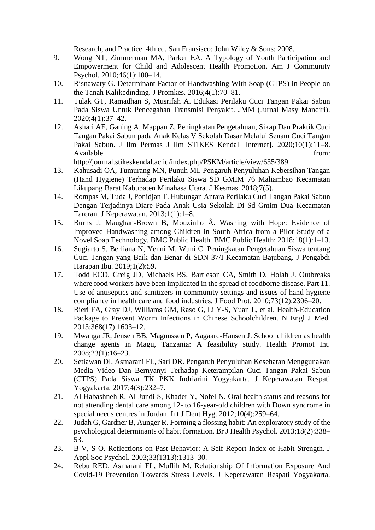Research, and Practice. 4th ed. San Fransisco: John Wiley & Sons; 2008.

- 9. Wong NT, Zimmerman MA, Parker EA. A Typology of Youth Participation and Empowerment for Child and Adolescent Health Promotion. Am J Community Psychol. 2010;46(1):100–14.
- 10. Risnawaty G. Determinant Factor of Handwashing With Soap (CTPS) in People on the Tanah Kalikedinding. J Promkes. 2016;4(1):70–81.
- 11. Tulak GT, Ramadhan S, Musrifah A. Edukasi Perilaku Cuci Tangan Pakai Sabun Pada Siswa Untuk Pencegahan Transmisi Penyakit. JMM (Jurnal Masy Mandiri). 2020;4(1):37–42.
- 12. Ashari AE, Ganing A, Mappau Z. Peningkatan Pengetahuan, Sikap Dan Praktik Cuci Tangan Pakai Sabun pada Anak Kelas V Sekolah Dasar Melalui Senam Cuci Tangan Pakai Sabun. J Ilm Permas J Ilm STIKES Kendal [Internet]. 2020;10(1):11–8. Available from:

http://journal.stikeskendal.ac.id/index.php/PSKM/article/view/635/389

- 13. Kahusadi OA, Tumurang MN, Punuh MI. Pengaruh Penyuluhan Kebersihan Tangan (Hand Hygiene) Terhadap Perilaku Siswa SD GMIM 76 Maliambao Kecamatan Likupang Barat Kabupaten Minahasa Utara. J Kesmas. 2018;7(5).
- 14. Rompas M, Tuda J, Ponidjan T. Hubungan Antara Perilaku Cuci Tangan Pakai Sabun Dengan Terjadinya Diare Pada Anak Usia Sekolah Di Sd Gmim Dua Kecamatan Tareran. J Keperawatan. 2013;1(1):1–8.
- 15. Burns J, Maughan-Brown B, Mouzinho Â. Washing with Hope: Evidence of Improved Handwashing among Children in South Africa from a Pilot Study of a Novel Soap Technology. BMC Public Health. BMC Public Health; 2018;18(1):1–13.
- 16. Sugiarto S, Berliana N, Yenni M, Wuni C. Peningkatan Pengetahuan Siswa tentang Cuci Tangan yang Baik dan Benar di SDN 37/I Kecamatan Bajubang. J Pengabdi Harapan Ibu. 2019;1(2):59.
- 17. Todd ECD, Greig JD, Michaels BS, Bartleson CA, Smith D, Holah J. Outbreaks where food workers have been implicated in the spread of foodborne disease. Part 11. Use of antiseptics and sanitizers in community settings and issues of hand hygiene compliance in health care and food industries. J Food Prot. 2010;73(12):2306–20.
- 18. Bieri FA, Gray DJ, Williams GM, Raso G, Li Y-S, Yuan L, et al. Health-Education Package to Prevent Worm Infections in Chinese Schoolchildren. N Engl J Med. 2013;368(17):1603–12.
- 19. Mwanga JR, Jensen BB, Magnussen P, Aagaard-Hansen J. School children as health change agents in Magu, Tanzania: A feasibility study. Health Promot Int. 2008;23(1):16–23.
- 20. Setiawan DI, Asmarani FL, Sari DR. Pengaruh Penyuluhan Kesehatan Menggunakan Media Video Dan Bernyanyi Terhadap Keterampilan Cuci Tangan Pakai Sabun (CTPS) Pada Siswa TK PKK Indriarini Yogyakarta. J Keperawatan Respati Yogyakarta. 2017;4(3):232–7.
- 21. Al Habashneh R, Al-Jundi S, Khader Y, Nofel N. Oral health status and reasons for not attending dental care among 12- to 16-year-old children with Down syndrome in special needs centres in Jordan. Int J Dent Hyg. 2012;10(4):259–64.
- 22. Judah G, Gardner B, Aunger R. Forming a flossing habit: An exploratory study of the psychological determinants of habit formation. Br J Health Psychol. 2013;18(2):338– 53.
- 23. B V, S O. Reflections on Past Behavior: A Self-Report Index of Habit Strength. J Appl Soc Psychol. 2003;33(1313):1313–30.
- 24. Rebu RED, Asmarani FL, Muflih M. Relationship Of Information Exposure And Covid-19 Prevention Towards Stress Levels. J Keperawatan Respati Yogyakarta.